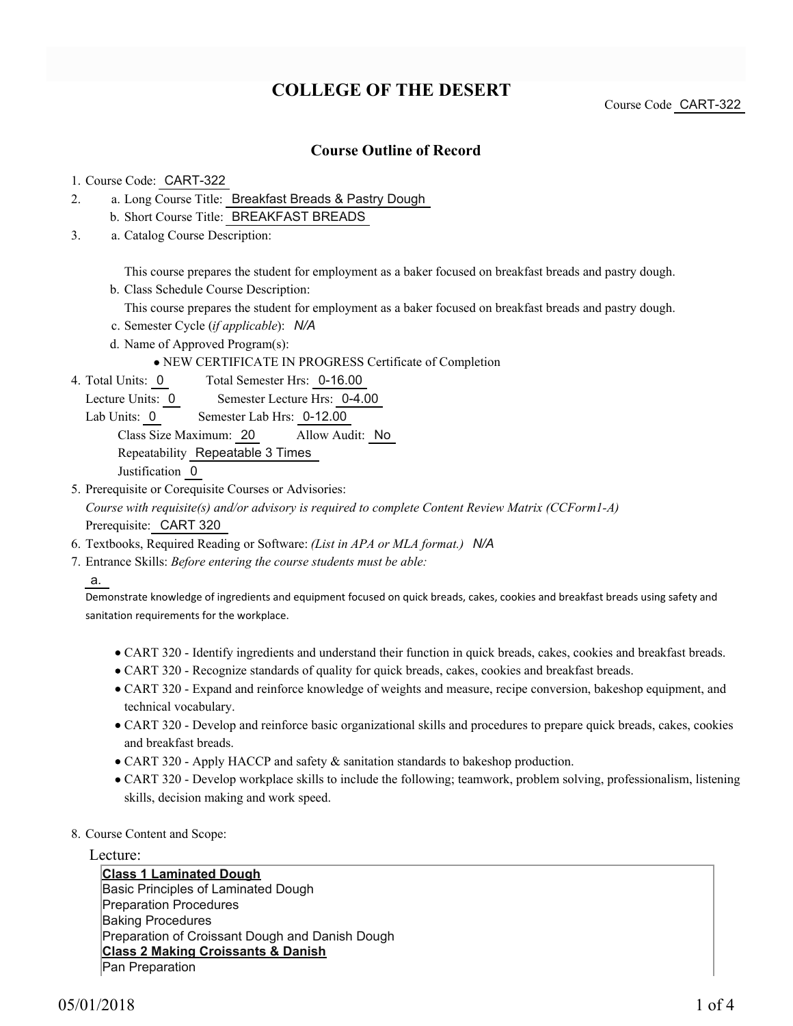# **COLLEGE OF THE DESERT**

Course Code CART-322

## **Course Outline of Record**

#### 1. Course Code: CART-322

- a. Long Course Title: Breakfast Breads & Pastry Dough 2.
	- b. Short Course Title: BREAKFAST BREADS
- Catalog Course Description: a. 3.

This course prepares the student for employment as a baker focused on breakfast breads and pastry dough.

b. Class Schedule Course Description:

This course prepares the student for employment as a baker focused on breakfast breads and pastry dough.

- c. Semester Cycle (*if applicable*): *N/A*
- d. Name of Approved Program(s):

NEW CERTIFICATE IN PROGRESS Certificate of Completion

Total Semester Hrs: 0-16.00 4. Total Units: 0

Lecture Units: 0 Semester Lecture Hrs: 0-4.00

Lab Units: 0 Semester Lab Hrs: 0-12.00

Class Size Maximum: 20 Allow Audit: No

Repeatability Repeatable 3 Times

Justification 0

5. Prerequisite or Corequisite Courses or Advisories:

*Course with requisite(s) and/or advisory is required to complete Content Review Matrix (CCForm1-A)* Prerequisite: CART 320

- 6. Textbooks, Required Reading or Software: *(List in APA or MLA format.) N/A*
- Entrance Skills: *Before entering the course students must be able:* 7.

a.

Demonstrate knowledge of ingredients and equipment focused on quick breads, cakes, cookies and breakfast breads using safety and sanitation requirements for the workplace.

- CART 320 Identify ingredients and understand their function in quick breads, cakes, cookies and breakfast breads.
- CART 320 Recognize standards of quality for quick breads, cakes, cookies and breakfast breads.
- CART 320 Expand and reinforce knowledge of weights and measure, recipe conversion, bakeshop equipment, and technical vocabulary.
- CART 320 Develop and reinforce basic organizational skills and procedures to prepare quick breads, cakes, cookies and breakfast breads.
- CART 320 Apply HACCP and safety & sanitation standards to bakeshop production.
- CART 320 Develop workplace skills to include the following; teamwork, problem solving, professionalism, listening skills, decision making and work speed.
- 8. Course Content and Scope:

Lecture:

**Class 1 Laminated Dough** Basic Principles of Laminated Dough Preparation Procedures Baking Procedures Preparation of Croissant Dough and Danish Dough **Class 2 Making Croissants & Danish** Pan Preparation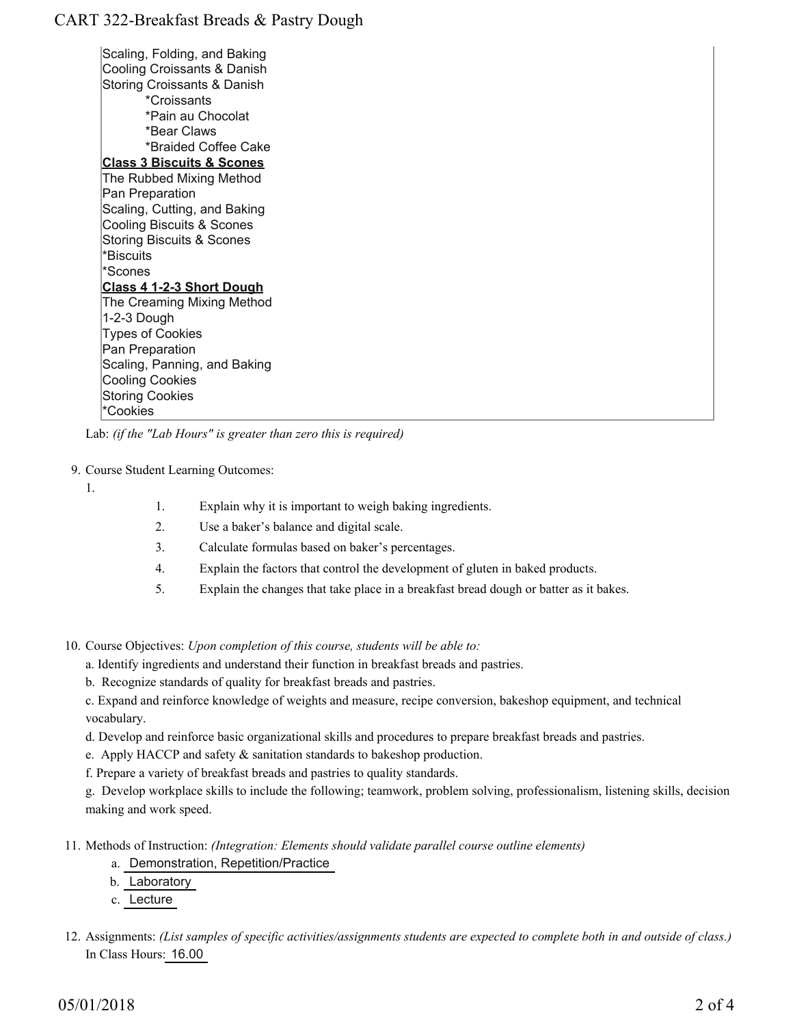# CART 322-Breakfast Breads & Pastry Dough

Scaling, Folding, and Baking Cooling Croissants & Danish Storing Croissants & Danish \*Croissants \*Pain au Chocolat \*Bear Claws \*Braided Coffee Cake **Class 3 Biscuits & Scones** The Rubbed Mixing Method Pan Preparation Scaling, Cutting, and Baking Cooling Biscuits & Scones Storing Biscuits & Scones \*Biscuits \*Scones **Class 4 1-2-3 Short Dough** The Creaming Mixing Method 1-2-3 Dough Types of Cookies Pan Preparation Scaling, Panning, and Baking Cooling Cookies Storing Cookies \*Cookies

Lab: *(if the "Lab Hours" is greater than zero this is required)*

#### 9. Course Student Learning Outcomes:

1.

1. Explain why it is important to weigh baking ingredients.

- 2. Use a baker's balance and digital scale.
- 3. Calculate formulas based on baker's percentages.
- 4. Explain the factors that control the development of gluten in baked products.
- 5. Explain the changes that take place in a breakfast bread dough or batter as it bakes.

10. Course Objectives: Upon completion of this course, students will be able to:

- a. Identify ingredients and understand their function in breakfast breads and pastries.
- b. Recognize standards of quality for breakfast breads and pastries.

c. Expand and reinforce knowledge of weights and measure, recipe conversion, bakeshop equipment, and technical vocabulary.

d. Develop and reinforce basic organizational skills and procedures to prepare breakfast breads and pastries.

- e. Apply HACCP and safety & sanitation standards to bakeshop production.
- f. Prepare a variety of breakfast breads and pastries to quality standards.

g. Develop workplace skills to include the following; teamwork, problem solving, professionalism, listening skills, decision making and work speed.

Methods of Instruction: *(Integration: Elements should validate parallel course outline elements)* 11.

- a. Demonstration, Repetition/Practice
- b. Laboratory
- c. Lecture
- 12. Assignments: (List samples of specific activities/assignments students are expected to complete both in and outside of class.) In Class Hours: 16.00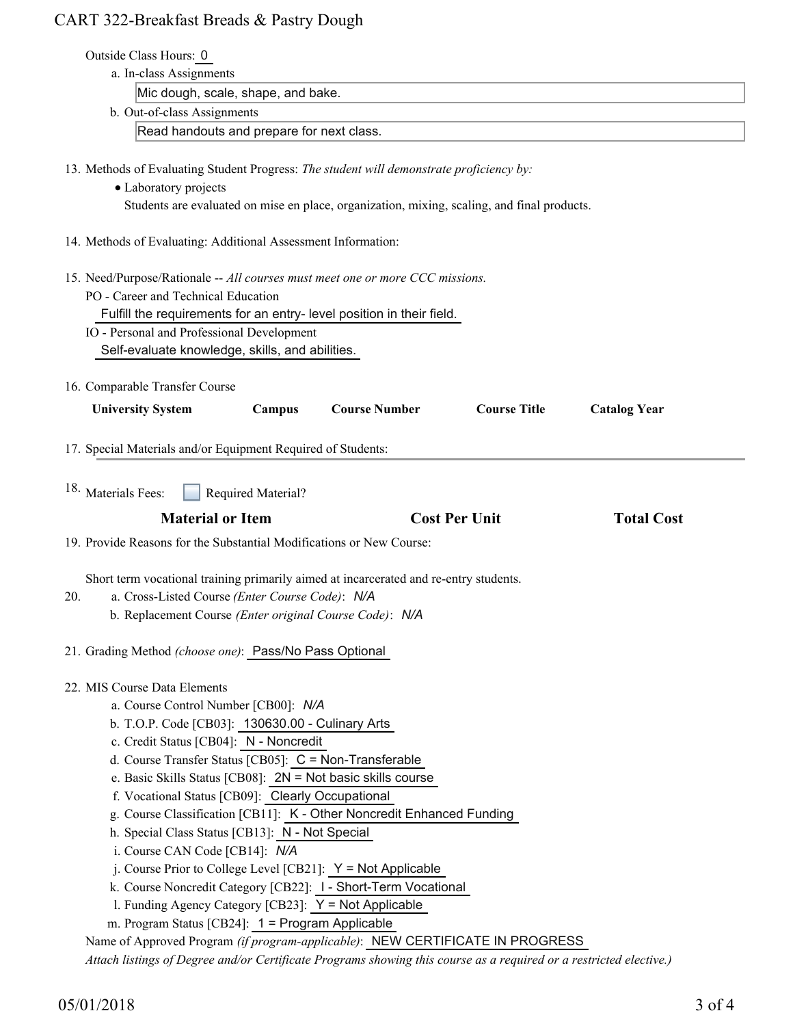# CART 322-Breakfast Breads & Pastry Dough

|     | Outside Class Hours: 0                                                                                                                                                                              |                                                        |                     |                     |  |
|-----|-----------------------------------------------------------------------------------------------------------------------------------------------------------------------------------------------------|--------------------------------------------------------|---------------------|---------------------|--|
|     | a. In-class Assignments                                                                                                                                                                             |                                                        |                     |                     |  |
|     | Mic dough, scale, shape, and bake.<br>b. Out-of-class Assignments<br>Read handouts and prepare for next class.                                                                                      |                                                        |                     |                     |  |
|     |                                                                                                                                                                                                     |                                                        |                     |                     |  |
|     |                                                                                                                                                                                                     |                                                        |                     |                     |  |
|     | 13. Methods of Evaluating Student Progress: The student will demonstrate proficiency by:                                                                                                            |                                                        |                     |                     |  |
|     | • Laboratory projects                                                                                                                                                                               |                                                        |                     |                     |  |
|     | Students are evaluated on mise en place, organization, mixing, scaling, and final products.                                                                                                         |                                                        |                     |                     |  |
|     | 14. Methods of Evaluating: Additional Assessment Information:                                                                                                                                       |                                                        |                     |                     |  |
|     | 15. Need/Purpose/Rationale -- All courses must meet one or more CCC missions.                                                                                                                       |                                                        |                     |                     |  |
|     | PO - Career and Technical Education                                                                                                                                                                 |                                                        |                     |                     |  |
|     | Fulfill the requirements for an entry- level position in their field.                                                                                                                               |                                                        |                     |                     |  |
|     | IO - Personal and Professional Development                                                                                                                                                          |                                                        |                     |                     |  |
|     | Self-evaluate knowledge, skills, and abilities.                                                                                                                                                     |                                                        |                     |                     |  |
|     | 16. Comparable Transfer Course                                                                                                                                                                      |                                                        |                     |                     |  |
|     | <b>Course Number</b><br><b>University System</b><br>Campus                                                                                                                                          |                                                        | <b>Course Title</b> | <b>Catalog Year</b> |  |
|     |                                                                                                                                                                                                     |                                                        |                     |                     |  |
|     | 17. Special Materials and/or Equipment Required of Students:                                                                                                                                        |                                                        |                     |                     |  |
|     | 18. Materials Fees:<br>Required Material?                                                                                                                                                           |                                                        |                     |                     |  |
|     | <b>Material or Item</b>                                                                                                                                                                             | <b>Cost Per Unit</b>                                   |                     | <b>Total Cost</b>   |  |
|     | 19. Provide Reasons for the Substantial Modifications or New Course:                                                                                                                                |                                                        |                     |                     |  |
|     |                                                                                                                                                                                                     |                                                        |                     |                     |  |
|     | Short term vocational training primarily aimed at incarcerated and re-entry students.                                                                                                               |                                                        |                     |                     |  |
| 20. | a. Cross-Listed Course (Enter Course Code): N/A                                                                                                                                                     |                                                        |                     |                     |  |
|     | b. Replacement Course (Enter original Course Code): N/A                                                                                                                                             |                                                        |                     |                     |  |
|     | 21. Grading Method (choose one): Pass/No Pass Optional                                                                                                                                              |                                                        |                     |                     |  |
|     | 22. MIS Course Data Elements                                                                                                                                                                        |                                                        |                     |                     |  |
|     |                                                                                                                                                                                                     | a. Course Control Number [CB00]: N/A                   |                     |                     |  |
|     | b. T.O.P. Code [CB03]: 130630.00 - Culinary Arts                                                                                                                                                    |                                                        |                     |                     |  |
|     | c. Credit Status [CB04]: N - Noncredit                                                                                                                                                              |                                                        |                     |                     |  |
|     |                                                                                                                                                                                                     | d. Course Transfer Status [CB05]: C = Non-Transferable |                     |                     |  |
|     |                                                                                                                                                                                                     |                                                        |                     |                     |  |
|     | e. Basic Skills Status [CB08]: 2N = Not basic skills course                                                                                                                                         |                                                        |                     |                     |  |
|     | f. Vocational Status [CB09]: Clearly Occupational                                                                                                                                                   |                                                        |                     |                     |  |
|     | g. Course Classification [CB11]: K - Other Noncredit Enhanced Funding                                                                                                                               |                                                        |                     |                     |  |
|     | h. Special Class Status [CB13]: N - Not Special                                                                                                                                                     |                                                        |                     |                     |  |
|     | i. Course CAN Code [CB14]: N/A                                                                                                                                                                      |                                                        |                     |                     |  |
|     | j. Course Prior to College Level [CB21]: $Y = Not$ Applicable                                                                                                                                       |                                                        |                     |                     |  |
|     | k. Course Noncredit Category [CB22]: I - Short-Term Vocational                                                                                                                                      |                                                        |                     |                     |  |
|     | 1. Funding Agency Category [CB23]: Y = Not Applicable                                                                                                                                               |                                                        |                     |                     |  |
|     | m. Program Status [CB24]: 1 = Program Applicable                                                                                                                                                    |                                                        |                     |                     |  |
|     | Name of Approved Program (if program-applicable): NEW CERTIFICATE IN PROGRESS<br>Attach listings of Degree and/or Certificate Programs showing this course as a required or a restricted elective.) |                                                        |                     |                     |  |